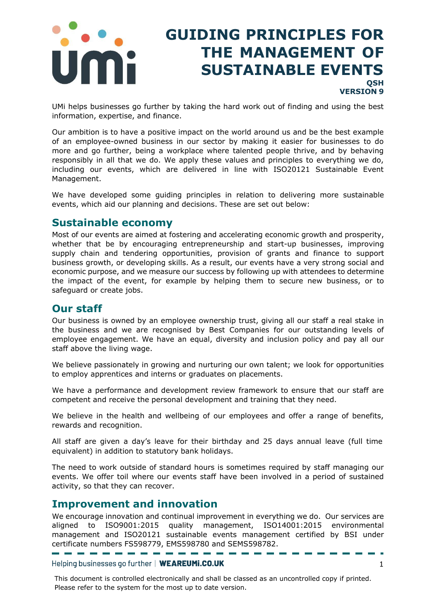

# **GUIDING PRINCIPLES FOR THE MANAGEMENT OF SUSTAINABLE EVENTS QSH VERSION 9**

UMi helps businesses go further by taking the hard work out of finding and using the best information, expertise, and finance.

Our ambition is to have a positive impact on the world around us and be the best example of an employee-owned business in our sector by making it easier for businesses to do more and go further, being a workplace where talented people thrive, and by behaving responsibly in all that we do. We apply these values and principles to everything we do, including our events, which are delivered in line with ISO20121 Sustainable Event Management.

We have developed some guiding principles in relation to delivering more sustainable events, which aid our planning and decisions. These are set out below:

#### **Sustainable economy**

Most of our events are aimed at fostering and accelerating economic growth and prosperity, whether that be by encouraging entrepreneurship and start-up businesses, improving supply chain and tendering opportunities, provision of grants and finance to support business growth, or developing skills. As a result, our events have a very strong social and economic purpose, and we measure our success by following up with attendees to determine the impact of the event, for example by helping them to secure new business, or to safeguard or create jobs.

#### **Our staff**

Our business is owned by an employee ownership trust, giving all our staff a real stake in the business and we are recognised by Best Companies for our outstanding levels of employee engagement. We have an equal, diversity and inclusion policy and pay all our staff above the living wage.

We believe passionately in growing and nurturing our own talent; we look for opportunities to employ apprentices and interns or graduates on placements.

We have a performance and development review framework to ensure that our staff are competent and receive the personal development and training that they need.

We believe in the health and wellbeing of our employees and offer a range of benefits, rewards and recognition.

All staff are given a day's leave for their birthday and 25 days annual leave (full time equivalent) in addition to statutory bank holidays.

The need to work outside of standard hours is sometimes required by staff managing our events. We offer toil where our events staff have been involved in a period of sustained activity, so that they can recover.

#### **Improvement and innovation**

We encourage innovation and continual improvement in everything we do. Our services are aligned to ISO9001:2015 quality management, ISO14001:2015 environmental management and ISO20121 sustainable events management certified by BSI under certificate numbers FS598779, EMS598780 and SEMS598782.

Helping businesses go further | WEAREUMi.CO.UK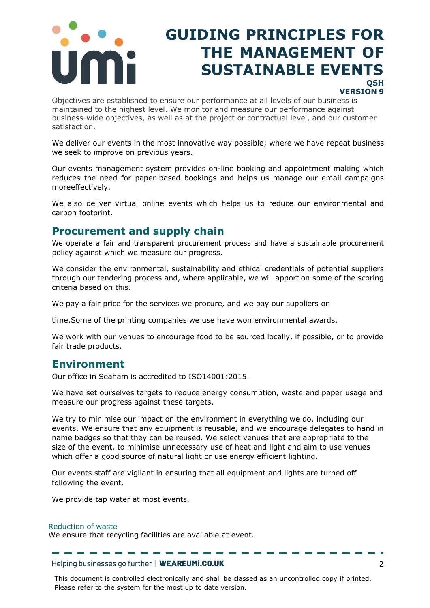

# **GUIDING PRINCIPLES FOR THE MANAGEMENT OF SUSTAINABLE EVENTS QSH**

#### **VERSION 9**

Objectives are established to ensure our performance at all levels of our business is maintained to the highest level. We monitor and measure our performance against business-wide objectives, as well as at the project or contractual level, and our customer satisfaction.

We deliver our events in the most innovative way possible; where we have repeat business we seek to improve on previous years.

Our events management system provides on-line booking and appointment making which reduces the need for paper-based bookings and helps us manage our email campaigns moreeffectively.

We also deliver virtual online events which helps us to reduce our environmental and carbon footprint.

#### **Procurement and supply chain**

We operate a fair and transparent procurement process and have a sustainable procurement policy against which we measure our progress.

We consider the environmental, sustainability and ethical credentials of potential suppliers through our tendering process and, where applicable, we will apportion some of the scoring criteria based on this.

We pay a fair price for the services we procure, and we pay our suppliers on

time.Some of the printing companies we use have won environmental awards.

We work with our venues to encourage food to be sourced locally, if possible, or to provide fair trade products.

#### **Environment**

Our office in Seaham is accredited to ISO14001:2015.

We have set ourselves targets to reduce energy consumption, waste and paper usage and measure our progress against these targets.

We try to minimise our impact on the environment in everything we do, including our events. We ensure that any equipment is reusable, and we encourage delegates to hand in name badges so that they can be reused. We select venues that are appropriate to the size of the event, to minimise unnecessary use of heat and light and aim to use venues which offer a good source of natural light or use energy efficient lighting.

Our events staff are vigilant in ensuring that all equipment and lights are turned off following the event.

We provide tap water at most events.

#### Reduction of waste

We ensure that recycling facilities are available at event.

Helping businesses go further | WEAREUMI.CO.UK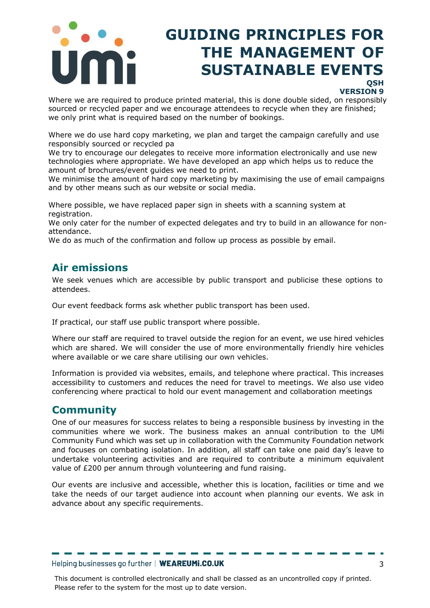

# **GUIDING PRINCIPLES FOR THE MANAGEMENT OF SUSTAINABLE EVENTS**

#### **QSH VERSION 9**

Where we are required to produce printed material, this is done double sided, on responsibly sourced or recycled paper and we encourage attendees to recycle when they are finished; we only print what is required based on the number of bookings.

Where we do use hard copy marketing, we plan and target the campaign carefully and use responsibly sourced or recycled pa

We try to encourage our delegates to receive more information electronically and use new technologies where appropriate. We have developed an app which helps us to reduce the amount of brochures/event guides we need to print.

We minimise the amount of hard copy marketing by maximising the use of email campaigns and by other means such as our website or social media.

Where possible, we have replaced paper sign in sheets with a scanning system at registration.

We only cater for the number of expected delegates and try to build in an allowance for nonattendance.

We do as much of the confirmation and follow up process as possible by email.

### **Air emissions**

We seek venues which are accessible by public transport and publicise these options to attendees.

Our event feedback forms ask whether public transport has been used.

If practical, our staff use public transport where possible.

Where our staff are required to travel outside the region for an event, we use hired vehicles which are shared. We will consider the use of more environmentally friendly hire vehicles where available or we care share utilising our own vehicles.

Information is provided via websites, emails, and telephone where practical. This increases accessibility to customers and reduces the need for travel to meetings. We also use video conferencing where practical to hold our event management and collaboration meetings

### **Community**

One of our measures for success relates to being a responsible business by investing in the communities where we work. The business makes an annual contribution to the UMi Community Fund which was set up in collaboration with the Community Foundation network and focuses on combating isolation. In addition, all staff can take one paid day's leave to undertake volunteering activities and are required to contribute a minimum equivalent value of £200 per annum through volunteering and fund raising.

Our events are inclusive and accessible, whether this is location, facilities or time and we take the needs of our target audience into account when planning our events. We ask in advance about any specific requirements.

#### Helping businesses go further | WEAREUMI.CO.UK